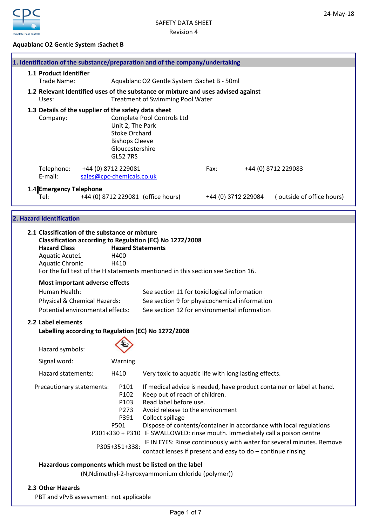

# Aquablanc O2 Gentle System :Sachet B

| <b>GL52 7RS</b>               |                                                                                                                                                                                                                                      |                                                                                                                                                                                                                                                                                                                                                                                                                                                                       |                                                                                                                                                                                                                                                                          |                                                                                                                                                                                                                                                                                                                                                                                                                                                                                |
|-------------------------------|--------------------------------------------------------------------------------------------------------------------------------------------------------------------------------------------------------------------------------------|-----------------------------------------------------------------------------------------------------------------------------------------------------------------------------------------------------------------------------------------------------------------------------------------------------------------------------------------------------------------------------------------------------------------------------------------------------------------------|--------------------------------------------------------------------------------------------------------------------------------------------------------------------------------------------------------------------------------------------------------------------------|--------------------------------------------------------------------------------------------------------------------------------------------------------------------------------------------------------------------------------------------------------------------------------------------------------------------------------------------------------------------------------------------------------------------------------------------------------------------------------|
|                               |                                                                                                                                                                                                                                      | Fax:                                                                                                                                                                                                                                                                                                                                                                                                                                                                  |                                                                                                                                                                                                                                                                          | +44 (0) 8712 229083                                                                                                                                                                                                                                                                                                                                                                                                                                                            |
|                               |                                                                                                                                                                                                                                      |                                                                                                                                                                                                                                                                                                                                                                                                                                                                       |                                                                                                                                                                                                                                                                          | (outside of office hours)                                                                                                                                                                                                                                                                                                                                                                                                                                                      |
|                               |                                                                                                                                                                                                                                      |                                                                                                                                                                                                                                                                                                                                                                                                                                                                       |                                                                                                                                                                                                                                                                          |                                                                                                                                                                                                                                                                                                                                                                                                                                                                                |
| H400<br>H410                  |                                                                                                                                                                                                                                      |                                                                                                                                                                                                                                                                                                                                                                                                                                                                       |                                                                                                                                                                                                                                                                          |                                                                                                                                                                                                                                                                                                                                                                                                                                                                                |
|                               |                                                                                                                                                                                                                                      |                                                                                                                                                                                                                                                                                                                                                                                                                                                                       |                                                                                                                                                                                                                                                                          |                                                                                                                                                                                                                                                                                                                                                                                                                                                                                |
|                               |                                                                                                                                                                                                                                      |                                                                                                                                                                                                                                                                                                                                                                                                                                                                       |                                                                                                                                                                                                                                                                          |                                                                                                                                                                                                                                                                                                                                                                                                                                                                                |
|                               |                                                                                                                                                                                                                                      |                                                                                                                                                                                                                                                                                                                                                                                                                                                                       |                                                                                                                                                                                                                                                                          |                                                                                                                                                                                                                                                                                                                                                                                                                                                                                |
| Warning                       |                                                                                                                                                                                                                                      |                                                                                                                                                                                                                                                                                                                                                                                                                                                                       |                                                                                                                                                                                                                                                                          |                                                                                                                                                                                                                                                                                                                                                                                                                                                                                |
| H410                          |                                                                                                                                                                                                                                      |                                                                                                                                                                                                                                                                                                                                                                                                                                                                       |                                                                                                                                                                                                                                                                          |                                                                                                                                                                                                                                                                                                                                                                                                                                                                                |
| P101<br>P102<br>P103          |                                                                                                                                                                                                                                      |                                                                                                                                                                                                                                                                                                                                                                                                                                                                       |                                                                                                                                                                                                                                                                          |                                                                                                                                                                                                                                                                                                                                                                                                                                                                                |
| P391<br>P501<br>P305+351+338: | Collect spillage<br>Dispose of contents/container in accordance with local regulations<br>P301+330 + P310 IF SWALLOWED: rinse mouth. Immediately call a poison centre<br>contact lenses if present and easy to do - continue rinsing |                                                                                                                                                                                                                                                                                                                                                                                                                                                                       |                                                                                                                                                                                                                                                                          | IF IN EYES: Rinse continuously with water for several minutes. Remove                                                                                                                                                                                                                                                                                                                                                                                                          |
|                               | Hazardous components which must be listed on the label                                                                                                                                                                               |                                                                                                                                                                                                                                                                                                                                                                                                                                                                       |                                                                                                                                                                                                                                                                          |                                                                                                                                                                                                                                                                                                                                                                                                                                                                                |
|                               | Most important adverse effects<br>Physical & Chemical Hazards:<br>Potential environmental effects:<br>Precautionary statements:<br>P273                                                                                              | 1.3 Details of the supplier of the safety data sheet<br>Complete Pool Controls Ltd<br>Unit 2, The Park<br><b>Stoke Orchard</b><br><b>Bishops Cleeve</b><br>Gloucestershire<br>+44 (0) 8712 229081<br>sales@cpc-chemicals.co.uk<br>+44 (0) 8712 229081 (office hours)<br>2.1 Classification of the substance or mixture<br>Classification according to Regulation (EC) No 1272/2008<br><b>Hazard Statements</b><br>Labelling according to Regulation (EC) No 1272/2008 | 1. Identification of the substance/preparation and of the company/undertaking<br>Aquablanc O2 Gentle System : Sachet B - 50ml<br><b>Treatment of Swimming Pool Water</b><br>Keep out of reach of children.<br>Read label before use.<br>Avoid release to the environment | 1.2 Relevant Identified uses of the substance or mixture and uses advised against<br>+44 (0) 3712 229084<br>For the full text of the H statements mentioned in this section see Section 16.<br>See section 11 for toxicilogical information<br>See section 9 for physicochemical information<br>See section 12 for environmental information<br>Very toxic to aquatic life with long lasting effects.<br>If medical advice is needed, have product container or label at hand. |

# 2.3 Other Hazards

PBT and vPvB assessment: not applicable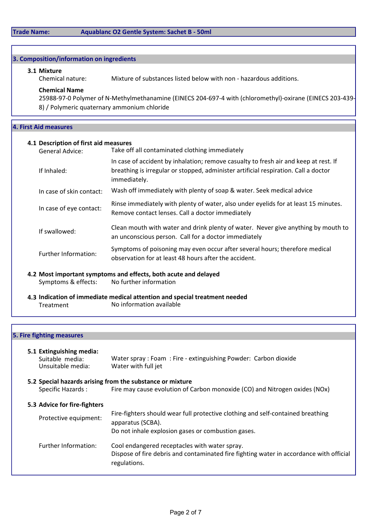# Trade Name: Aquablanc O2 Gentle System: Sachet B - 50ml

# 3. Composition/information on ingredients

**3.1 Mixture**<br>Chemical nature:

Mixture of substances listed below with non - hazardous additions.

# Chemical Name

25988-97-0 Polymer of N-Methylmethanamine (EINECS 204-697-4 with (chloromethyl)-oxirane (EINECS 203-439- 8) / Polymeric quaternary ammonium chloride

# 4. First Aid measures

# 4.1 Description of first aid measures

| Take off all contaminated clothing immediately                                                                                                                                              |
|---------------------------------------------------------------------------------------------------------------------------------------------------------------------------------------------|
| In case of accident by inhalation; remove casualty to fresh air and keep at rest. If<br>breathing is irregular or stopped, administer artificial respiration. Call a doctor<br>immediately. |
| Wash off immediately with plenty of soap & water. Seek medical advice                                                                                                                       |
| Rinse immediately with plenty of water, also under eyelids for at least 15 minutes.<br>Remove contact lenses. Call a doctor immediately                                                     |
| Clean mouth with water and drink plenty of water. Never give anything by mouth to<br>an unconscious person. Call for a doctor immediately                                                   |
| Symptoms of poisoning may even occur after several hours; therefore medical<br>observation for at least 48 hours after the accident.                                                        |
|                                                                                                                                                                                             |

4.2 Most important symptoms and effects, both acute and delayed Symptoms & effects: No further information

4.3 Indication of immediate medical attention and special treatment needed Treatment No information available

# 5. Fire fighting measures

| 5.1 Extinguishing media:<br>Suitable media:<br>Unsuitable media: | Water spray: Foam: Fire - extinguishing Powder: Carbon dioxide<br>Water with full jet                                                                      |
|------------------------------------------------------------------|------------------------------------------------------------------------------------------------------------------------------------------------------------|
|                                                                  | 5.2 Special hazards arising from the substance or mixture                                                                                                  |
| Specific Hazards:                                                | Fire may cause evolution of Carbon monoxide (CO) and Nitrogen oxides (NOx)                                                                                 |
| 5.3 Advice for fire-fighters                                     |                                                                                                                                                            |
| Protective equipment:                                            | Fire-fighters should wear full protective clothing and self-contained breathing<br>apparatus (SCBA).<br>Do not inhale explosion gases or combustion gases. |
| Further Information:                                             | Cool endangered receptacles with water spray.<br>Dispose of fire debris and contaminated fire fighting water in accordance with official<br>regulations.   |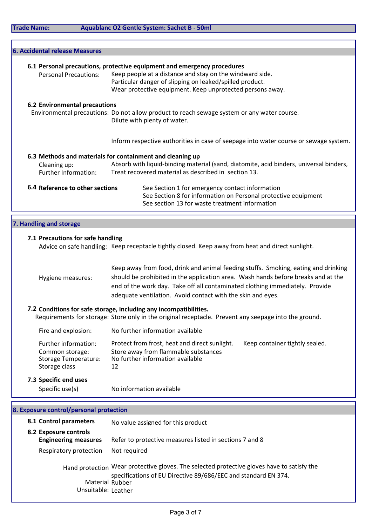| <b>Trade Name:</b> |  |  |
|--------------------|--|--|
|                    |  |  |

| 6. Accidental release Measures       |                                                                                                                                                                                   |
|--------------------------------------|-----------------------------------------------------------------------------------------------------------------------------------------------------------------------------------|
|                                      | 6.1 Personal precautions, protective equipment and emergency procedures                                                                                                           |
| <b>Personal Precautions:</b>         | Keep people at a distance and stay on the windward side.<br>Particular danger of slipping on leaked/spilled product.<br>Wear protective equipment. Keep unprotected persons away. |
| <b>6.2 Environmental precautions</b> |                                                                                                                                                                                   |
|                                      | Environmental precautions: Do not allow product to reach sewage system or any water course.<br>Dilute with plenty of water.                                                       |
|                                      | Inform respective authorities in case of seepage into water course or sewage system.                                                                                              |
|                                      | 6.3 Methods and materials for containment and cleaning up                                                                                                                         |
| Cleaning up:<br>Further Information: | Absorb with liquid-binding material (sand, diatomite, acid binders, universal binders,<br>Treat recovered material as described in section 13.                                    |
| 6.4 Reference to other sections      | See Section 1 for emergency contact information<br>See Section 8 for information on Personal protective equipment<br>See section 13 for waste treatment information               |
| 7. Handling and storage              |                                                                                                                                                                                   |

# 7.1 Precautions for safe handling

Advice on safe handling: Keep receptacle tightly closed. Keep away from heat and direct sunlight.

|                   | Keep away from food, drink and animal feeding stuffs. Smoking, eating and drinking |
|-------------------|------------------------------------------------------------------------------------|
| Hygiene measures: | should be prohibited in the application area. Wash hands before breaks and at the  |
|                   | end of the work day. Take off all contaminated clothing immediately. Provide       |
|                   | adequate ventilation. Avoid contact with the skin and eyes.                        |

7.2 Conditions for safe storage, including any incompatibilities. Requirements for storage: Store only in the original receptacle. Prevent any seepage into the ground.

| Fire and explosion: | No further information available |
|---------------------|----------------------------------|
|                     |                                  |

| Further information: | Protect from frost, heat and direct sunlight. | Keep container tightly sealed. |
|----------------------|-----------------------------------------------|--------------------------------|
| Common storage:      | Store away from flammable substances          |                                |
| Storage Temperature: | No further information available              |                                |
| Storage class        | 12                                            |                                |

# 7.3 Specific end uses

Specific use(s) No information available

| 8. Exposure control/personal protection              |                                                                                                                                                              |
|------------------------------------------------------|--------------------------------------------------------------------------------------------------------------------------------------------------------------|
| 8.1 Control parameters                               | No value assigned for this product                                                                                                                           |
| 8.2 Exposure controls<br><b>Engineering measures</b> | Refer to protective measures listed in sections 7 and 8                                                                                                      |
| Respiratory protection                               | Not required                                                                                                                                                 |
| Material Rubber<br>Unsuitable: Leather               | Hand protection Wear protective gloves. The selected protective gloves have to satisfy the<br>specifications of EU Directive 89/686/EEC and standard EN 374. |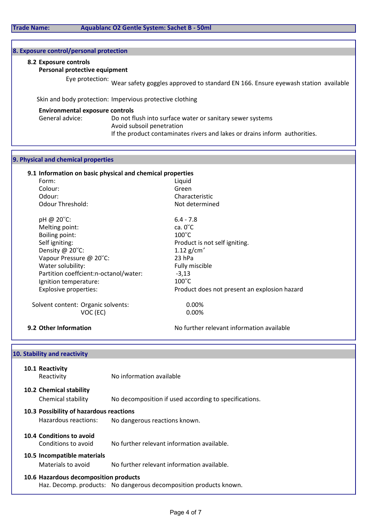# 8. Exposure control/personal protection

#### 8.2 Exposure controls

#### Personal protective equipment

Eye protection: Wear safety goggles approved to standard EN 166. Ensure eyewash station available

Skin and body protection: Impervious protective clothing

#### Environmental exposure controls

General advice: Do not flush into surface water or sanitary sewer systems Avoid subsoil penetration If the product contaminates rivers and lakes or drains inform authorities.

#### 9. Physical and chemical properties

### 9.1 Information on basic physical and chemical properties

Form: Example 2012 12:00 12:00 12:00 12:00 12:00 12:00 12:00 12:00 12:00 12:00 12:00 12:00 12:00 12:00 12:00 12:00 12:00 12:00 12:00 12:00 12:00 12:00 12:00 12:00 12:00 12:00 12:00 12:00 12:00 12:00 12:00 12:00 12:00 12:00 Colour: Green Odour: Characteristic Odour Threshold: Not determined pH @ 20 $^{\circ}$ C: 6.4 - 7.8<br>
Melting point: ca. 0 $^{\circ}$ C Melting point: Boiling point: 100°C<br>Self igniting: 100°C<br>Produ Density  $\omega$  20<sup>o</sup>C: 1.12 g/cm<sup>3</sup> Vapour Pressure  $@$  20 $°C$ : 23 hPa Water solubility: The Contract of the Contract of Tully miscible Partition coeffcient:n-octanol/water: -3,13  $I$ gnition temperature:  $100^{\circ}$ C

Product is not self igniting. Explosive properties: Product does not present an explosion hazard

Solvent content: Organic solvents: 0.00% VOC (EC) 0.00%

**9.2 Other Information** No further relevant information available

# 10.1 Reactivity Reactivity No information available 10.2 Chemical stability Chemical stability No decomposition if used according to specifications. 10.3 Possibility of hazardous reactions Hazardous reactions: No dangerous reactions known. 10.4 Conditions to avoid Conditions to avoid No further relevant information available. 10.5 Incompatible materials Materials to avoid No further relevant information available. 10. Stability and reactivity

# 10.6 Hazardous decomposition products

Haz. Decomp. products: No dangerous decomposition products known.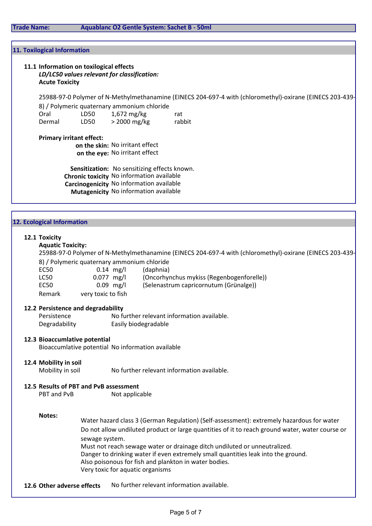#### Trade Name: Aquablanc O2 Gentle System: Sachet B - 50ml

#### 11. Toxilogical Information

# 11.1 Information on toxilogical effects LD/LC50 values relevant for classification: Acute Toxicity

25988-97-0 Polymer of N-Methylmethanamine (EINECS 204-697-4 with (chloromethyl)-oxirane (EINECS 203-439-

|        |      | 8) / Polymeric quaternary ammonium chloride |        |
|--------|------|---------------------------------------------|--------|
| Oral   | LD50 | $1,672$ mg/kg                               | rat    |
| Dermal | LD50 | > 2000 mg/kg                                | rabbit |

#### Primary irritant effect:

on the skin: No irritant effect on the eye: No irritant effect

Sensitization: No sensitizing effects known. Chronic toxicity No information available Carcinogenicity No information available Mutagenicity No information available

### 12. Ecological Information

#### 12.1 Toxicity

## Aquatic Toxicity:

25988-97-0 Polymer of N-Methylmethanamine (EINECS 204-697-4 with (chloromethyl)-oxirane (EINECS 203-439- 8) / Polymeric quaternary ammonium chloride

| EC50   | $0.14$ mg/l        | (daphnia)                                 |
|--------|--------------------|-------------------------------------------|
| LC50   | $0.077$ mg/l       | (Oncorhynchus mykiss (Regenbogenforelle)) |
| EC50   | $0.09$ mg/l        | (Selenastrum capricornutum (Grünalge))    |
| Remark | very toxic to fish |                                           |

#### 12.2 Persistence and degradability

Persistence No further relevant information available. Degradability Easily biodegradable

# 12.3 Bioaccumlative potential

Bioaccumlative potential No information available

#### 12.4 Mobility in soil

Mobility in soil No further relevant information available.

# **12.5 Results of PBT and PvB assessment**<br>PBT and PvB **Mot annlig**

Not applicable

#### Notes:

Must not reach sewage water or drainage ditch undiluted or unneutralized. Danger to drinking water if even extremely small quantities leak into the ground. Also poisonous for fish and plankton in water bodies. Very toxic for aquatic organisms Do not allow undiluted product or large quantities of it to reach ground water, water course or sewage system. Water hazard class 3 (German Regulation) (Self-assessment): extremely hazardous for water

12.6 Other adverse effects No further relevant information available.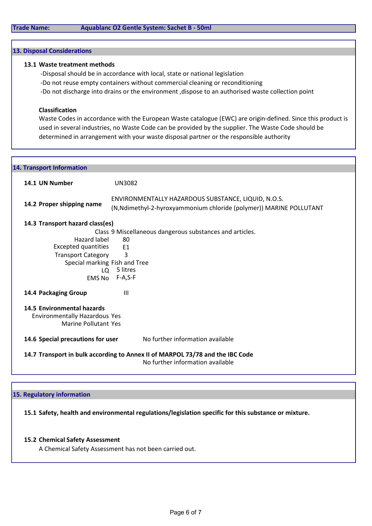#### 13. Disposal Considerations

#### 13.1 Waste treatment methods

-Disposal should be in accordance with local, state or national legislation -Do not reuse empty containers without commercial cleaning or reconditioning -Do not discharge into drains or the environment ,dispose to an authorised waste collection point

#### Classification

Waste Codes in accordance with the European Waste catalogue (EWC) are origin-defined. Since this product is used in several industries, no Waste Code can be provided by the supplier. The Waste Code should be determined in arrangement with your waste disposal partner or the responsible authority

| 14. Transport Information         |                                                                                                                            |
|-----------------------------------|----------------------------------------------------------------------------------------------------------------------------|
| 14.1 UN Number                    | <b>UN3082</b>                                                                                                              |
| 14.2 Proper shipping name         | ENVIRONMENTALLY HAZARDOUS SUBSTANCE, LIQUID, N.O.S.<br>(N, Ndimethyl-2-hyroxyammonium chloride (polymer)) MARINE POLLUTANT |
| 14.3 Transport hazard class(es)   |                                                                                                                            |
|                                   | Class 9 Miscellaneous dangerous substances and articles.                                                                   |
| Hazard label                      | 80                                                                                                                         |
| <b>Excepted quantities</b>        | F <sub>1</sub>                                                                                                             |
| <b>Transport Category</b>         | 3                                                                                                                          |
| Special marking Fish and Tree     |                                                                                                                            |
| LO.                               | 5 litres                                                                                                                   |
|                                   | EMS No F-A, S-F                                                                                                            |
| 14.4 Packaging Group              | $\mathbf{III}$                                                                                                             |
| 14.5 Environmental hazards        |                                                                                                                            |
| Environmentally Hazardous Yes     |                                                                                                                            |
| Marine Pollutant Yes              |                                                                                                                            |
| 14.6 Special precautions for user | No further information available                                                                                           |
|                                   | 14.7 Transport in bulk according to Annex II of MARPOL 73/78 and the IBC Code<br>No further information available          |

# 15. Regulatory information

15.1 Safety, health and environmental regulations/legislation specific for this substance or mixture.

## 15.2 Chemical Safety Assessment

A Chemical Safety Assessment has not been carried out.